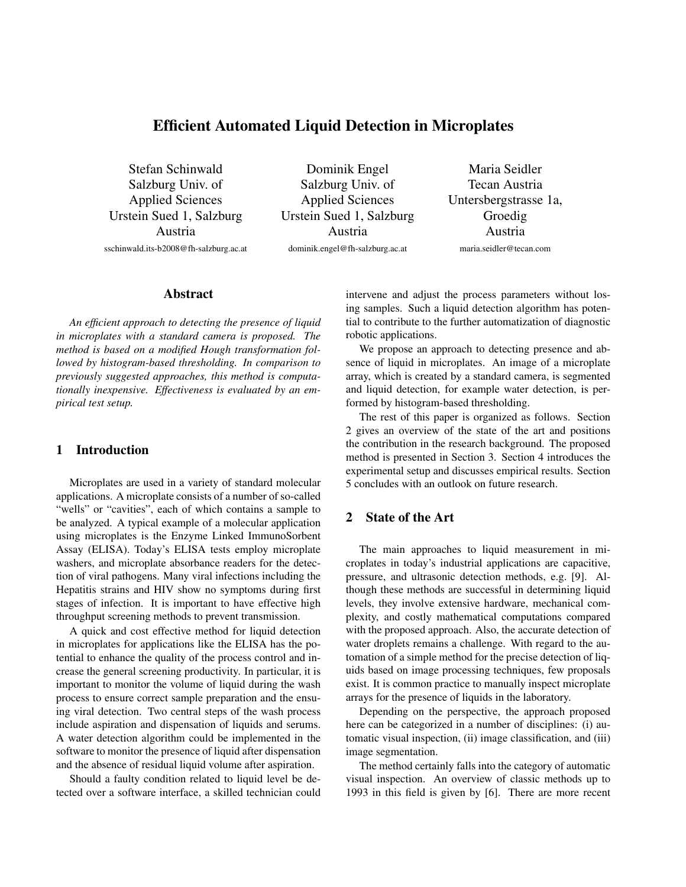# Efficient Automated Liquid Detection in Microplates

Stefan Schinwald Salzburg Univ. of Applied Sciences Urstein Sued 1, Salzburg Austria sschinwald.its-b2008@fh-salzburg.ac.at

Dominik Engel Salzburg Univ. of Applied Sciences Urstein Sued 1, Salzburg Austria dominik.engel@fh-salzburg.ac.at

Maria Seidler Tecan Austria Untersbergstrasse 1a, Groedig Austria maria.seidler@tecan.com

#### Abstract

*An efficient approach to detecting the presence of liquid in microplates with a standard camera is proposed. The method is based on a modified Hough transformation followed by histogram-based thresholding. In comparison to previously suggested approaches, this method is computationally inexpensive. Effectiveness is evaluated by an empirical test setup.*

## 1 Introduction

Microplates are used in a variety of standard molecular applications. A microplate consists of a number of so-called "wells" or "cavities", each of which contains a sample to be analyzed. A typical example of a molecular application using microplates is the Enzyme Linked ImmunoSorbent Assay (ELISA). Today's ELISA tests employ microplate washers, and microplate absorbance readers for the detection of viral pathogens. Many viral infections including the Hepatitis strains and HIV show no symptoms during first stages of infection. It is important to have effective high throughput screening methods to prevent transmission.

A quick and cost effective method for liquid detection in microplates for applications like the ELISA has the potential to enhance the quality of the process control and increase the general screening productivity. In particular, it is important to monitor the volume of liquid during the wash process to ensure correct sample preparation and the ensuing viral detection. Two central steps of the wash process include aspiration and dispensation of liquids and serums. A water detection algorithm could be implemented in the software to monitor the presence of liquid after dispensation and the absence of residual liquid volume after aspiration.

Should a faulty condition related to liquid level be detected over a software interface, a skilled technician could intervene and adjust the process parameters without losing samples. Such a liquid detection algorithm has potential to contribute to the further automatization of diagnostic robotic applications.

We propose an approach to detecting presence and absence of liquid in microplates. An image of a microplate array, which is created by a standard camera, is segmented and liquid detection, for example water detection, is performed by histogram-based thresholding.

The rest of this paper is organized as follows. Section 2 gives an overview of the state of the art and positions the contribution in the research background. The proposed method is presented in Section 3. Section 4 introduces the experimental setup and discusses empirical results. Section 5 concludes with an outlook on future research.

### 2 State of the Art

The main approaches to liquid measurement in microplates in today's industrial applications are capacitive, pressure, and ultrasonic detection methods, e.g. [9]. Although these methods are successful in determining liquid levels, they involve extensive hardware, mechanical complexity, and costly mathematical computations compared with the proposed approach. Also, the accurate detection of water droplets remains a challenge. With regard to the automation of a simple method for the precise detection of liquids based on image processing techniques, few proposals exist. It is common practice to manually inspect microplate arrays for the presence of liquids in the laboratory.

Depending on the perspective, the approach proposed here can be categorized in a number of disciplines: (i) automatic visual inspection, (ii) image classification, and (iii) image segmentation.

The method certainly falls into the category of automatic visual inspection. An overview of classic methods up to 1993 in this field is given by [6]. There are more recent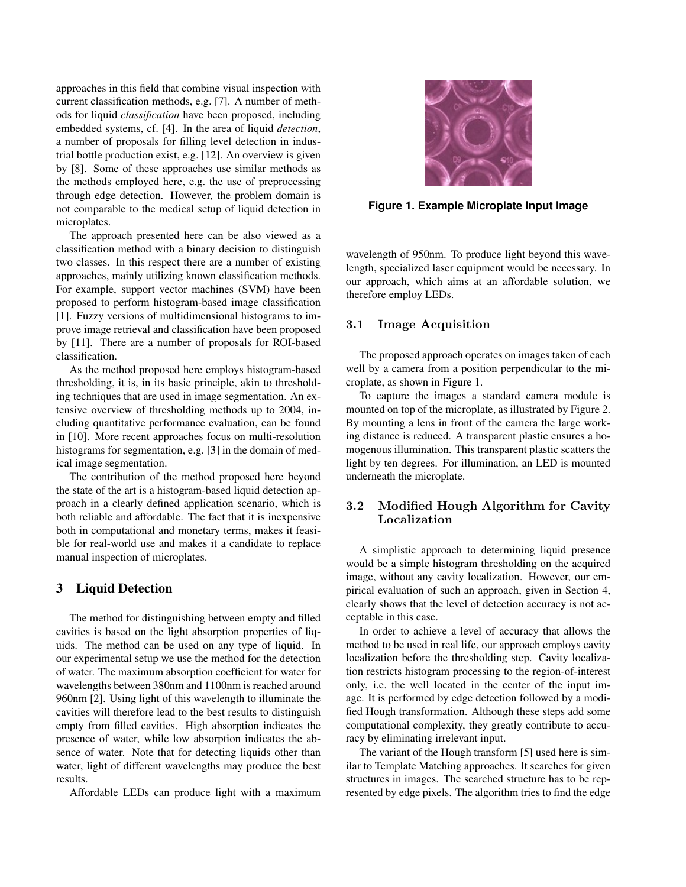approaches in this field that combine visual inspection with current classification methods, e.g. [7]. A number of methods for liquid *classification* have been proposed, including embedded systems, cf. [4]. In the area of liquid *detection*, a number of proposals for filling level detection in industrial bottle production exist, e.g. [12]. An overview is given by [8]. Some of these approaches use similar methods as the methods employed here, e.g. the use of preprocessing through edge detection. However, the problem domain is not comparable to the medical setup of liquid detection in microplates.

The approach presented here can be also viewed as a classification method with a binary decision to distinguish two classes. In this respect there are a number of existing approaches, mainly utilizing known classification methods. For example, support vector machines (SVM) have been proposed to perform histogram-based image classification [1]. Fuzzy versions of multidimensional histograms to improve image retrieval and classification have been proposed by [11]. There are a number of proposals for ROI-based classification.

As the method proposed here employs histogram-based thresholding, it is, in its basic principle, akin to thresholding techniques that are used in image segmentation. An extensive overview of thresholding methods up to 2004, including quantitative performance evaluation, can be found in [10]. More recent approaches focus on multi-resolution histograms for segmentation, e.g. [3] in the domain of medical image segmentation.

The contribution of the method proposed here beyond the state of the art is a histogram-based liquid detection approach in a clearly defined application scenario, which is both reliable and affordable. The fact that it is inexpensive both in computational and monetary terms, makes it feasible for real-world use and makes it a candidate to replace manual inspection of microplates.

### 3 Liquid Detection

The method for distinguishing between empty and filled cavities is based on the light absorption properties of liquids. The method can be used on any type of liquid. In our experimental setup we use the method for the detection of water. The maximum absorption coefficient for water for wavelengths between 380nm and 1100nm is reached around 960nm [2]. Using light of this wavelength to illuminate the cavities will therefore lead to the best results to distinguish empty from filled cavities. High absorption indicates the presence of water, while low absorption indicates the absence of water. Note that for detecting liquids other than water, light of different wavelengths may produce the best results.

Affordable LEDs can produce light with a maximum



**Figure 1. Example Microplate Input Image**

wavelength of 950nm. To produce light beyond this wavelength, specialized laser equipment would be necessary. In our approach, which aims at an affordable solution, we therefore employ LEDs.

#### 3.1 Image Acquisition

The proposed approach operates on images taken of each well by a camera from a position perpendicular to the microplate, as shown in Figure 1.

To capture the images a standard camera module is mounted on top of the microplate, as illustrated by Figure 2. By mounting a lens in front of the camera the large working distance is reduced. A transparent plastic ensures a homogenous illumination. This transparent plastic scatters the light by ten degrees. For illumination, an LED is mounted underneath the microplate.

### 3.2 Modified Hough Algorithm for Cavity Localization

A simplistic approach to determining liquid presence would be a simple histogram thresholding on the acquired image, without any cavity localization. However, our empirical evaluation of such an approach, given in Section 4, clearly shows that the level of detection accuracy is not acceptable in this case.

In order to achieve a level of accuracy that allows the method to be used in real life, our approach employs cavity localization before the thresholding step. Cavity localization restricts histogram processing to the region-of-interest only, i.e. the well located in the center of the input image. It is performed by edge detection followed by a modified Hough transformation. Although these steps add some computational complexity, they greatly contribute to accuracy by eliminating irrelevant input.

The variant of the Hough transform [5] used here is similar to Template Matching approaches. It searches for given structures in images. The searched structure has to be represented by edge pixels. The algorithm tries to find the edge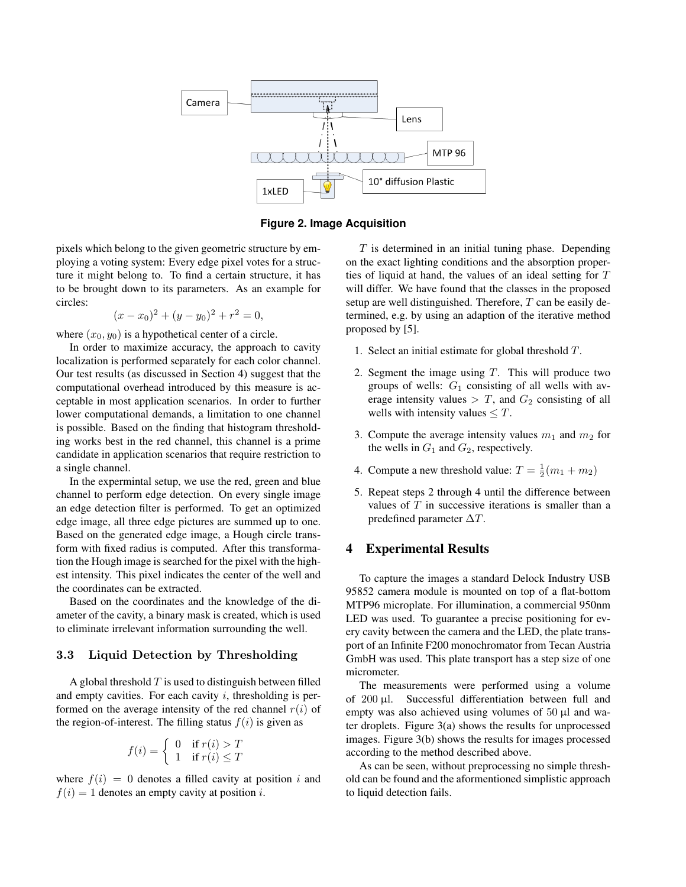

**Figure 2. Image Acquisition**

pixels which belong to the given geometric structure by employing a voting system: Every edge pixel votes for a structure it might belong to. To find a certain structure, it has to be brought down to its parameters. As an example for circles:

$$
(x - x_0)^2 + (y - y_0)^2 + r^2 = 0,
$$

where  $(x_0, y_0)$  is a hypothetical center of a circle.

In order to maximize accuracy, the approach to cavity localization is performed separately for each color channel. Our test results (as discussed in Section 4) suggest that the computational overhead introduced by this measure is acceptable in most application scenarios. In order to further lower computational demands, a limitation to one channel is possible. Based on the finding that histogram thresholding works best in the red channel, this channel is a prime candidate in application scenarios that require restriction to a single channel.

In the expermintal setup, we use the red, green and blue channel to perform edge detection. On every single image an edge detection filter is performed. To get an optimized edge image, all three edge pictures are summed up to one. Based on the generated edge image, a Hough circle transform with fixed radius is computed. After this transformation the Hough image is searched for the pixel with the highest intensity. This pixel indicates the center of the well and the coordinates can be extracted.

Based on the coordinates and the knowledge of the diameter of the cavity, a binary mask is created, which is used to eliminate irrelevant information surrounding the well.

### 3.3 Liquid Detection by Thresholding

A global threshold  $T$  is used to distinguish between filled and empty cavities. For each cavity  $i$ , thresholding is performed on the average intensity of the red channel  $r(i)$  of the region-of-interest. The filling status  $f(i)$  is given as

$$
f(i) = \begin{cases} 0 & \text{if } r(i) > T \\ 1 & \text{if } r(i) \le T \end{cases}
$$

where  $f(i) = 0$  denotes a filled cavity at position i and  $f(i) = 1$  denotes an empty cavity at position i.

 $T$  is determined in an initial tuning phase. Depending on the exact lighting conditions and the absorption properties of liquid at hand, the values of an ideal setting for T will differ. We have found that the classes in the proposed setup are well distinguished. Therefore,  $T$  can be easily determined, e.g. by using an adaption of the iterative method proposed by [5].

- 1. Select an initial estimate for global threshold T.
- 2. Segment the image using  $T$ . This will produce two groups of wells:  $G_1$  consisting of all wells with average intensity values  $> T$ , and  $G_2$  consisting of all wells with intensity values  $\leq T$ .
- 3. Compute the average intensity values  $m_1$  and  $m_2$  for the wells in  $G_1$  and  $G_2$ , respectively.
- 4. Compute a new threshold value:  $T = \frac{1}{2}(m_1 + m_2)$
- 5. Repeat steps 2 through 4 until the difference between values of  $T$  in successive iterations is smaller than a predefined parameter  $\Delta T$ .

### 4 Experimental Results

To capture the images a standard Delock Industry USB 95852 camera module is mounted on top of a flat-bottom MTP96 microplate. For illumination, a commercial 950nm LED was used. To guarantee a precise positioning for every cavity between the camera and the LED, the plate transport of an Infinite F200 monochromator from Tecan Austria GmbH was used. This plate transport has a step size of one micrometer.

The measurements were performed using a volume of 200 µl. Successful differentiation between full and empty was also achieved using volumes of 50 µl and water droplets. Figure 3(a) shows the results for unprocessed images. Figure 3(b) shows the results for images processed according to the method described above.

As can be seen, without preprocessing no simple threshold can be found and the aformentioned simplistic approach to liquid detection fails.